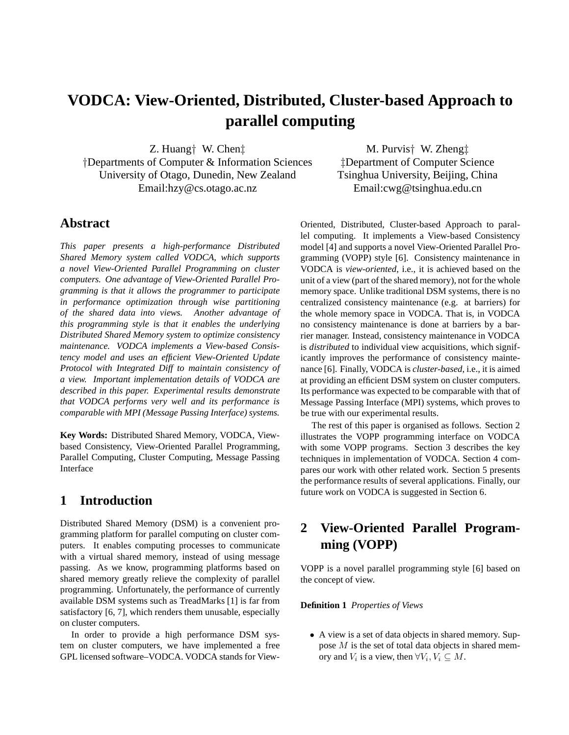# **VODCA: View-Oriented, Distributed, Cluster-based Approach to parallel computing**

Z. Huang† W. Chen‡ †Departments of Computer & Information Sciences University of Otago, Dunedin, New Zealand Email:hzy@cs.otago.ac.nz

M. Purvis† W. Zheng‡ ‡Department of Computer Science Tsinghua University, Beijing, China Email:cwg@tsinghua.edu.cn

## **Abstract**

*This paper presents a high-performance Distributed Shared Memory system called VODCA, which supports a novel View-Oriented Parallel Programming on cluster computers. One advantage of View-Oriented Parallel Programming is that it allows the programmer to participate in performance optimization through wise partitioning of the shared data into views. Another advantage of this programming style is that it enables the underlying Distributed Shared Memory system to optimize consistency maintenance. VODCA implements a View-based Consistency model and uses an efficient View-Oriented Update Protocol with Integrated Diff to maintain consistency of a view. Important implementation details of VODCA are described in this paper. Experimental results demonstrate that VODCA performs very well and its performance is comparable with MPI (Message Passing Interface) systems.*

**Key Words:** Distributed Shared Memory, VODCA, Viewbased Consistency, View-Oriented Parallel Programming, Parallel Computing, Cluster Computing, Message Passing Interface

## **1 Introduction**

Distributed Shared Memory (DSM) is a convenient programming platform for parallel computing on cluster computers. It enables computing processes to communicate with a virtual shared memory, instead of using message passing. As we know, programming platforms based on shared memory greatly relieve the complexity of parallel programming. Unfortunately, the performance of currently available DSM systems such as TreadMarks [1] is far from satisfactory [6, 7], which renders them unusable, especially on cluster computers.

In order to provide a high performance DSM system on cluster computers, we have implemented a free GPL licensed software–VODCA. VODCA stands for View-

Oriented, Distributed, Cluster-based Approach to parallel computing. It implements a View-based Consistency model [4] and supports a novel View-Oriented Parallel Programming (VOPP) style [6]. Consistency maintenance in VODCA is *view-oriented*, i.e., it is achieved based on the unit of a view (part of the shared memory), not for the whole memory space. Unlike traditional DSM systems, there is no centralized consistency maintenance (e.g. at barriers) for the whole memory space in VODCA. That is, in VODCA no consistency maintenance is done at barriers by a barrier manager. Instead, consistency maintenance in VODCA is *distributed* to individual view acquisitions, which significantly improves the performance of consistency maintenance [6]. Finally, VODCA is *cluster-based*, i.e., it is aimed at providing an efficient DSM system on cluster computers. Its performance was expected to be comparable with that of Message Passing Interface (MPI) systems, which proves to be true with our experimental results.

The rest of this paper is organised as follows. Section 2 illustrates the VOPP programming interface on VODCA with some VOPP programs. Section 3 describes the key techniques in implementation of VODCA. Section 4 compares our work with other related work. Section 5 presents the performance results of several applications. Finally, our future work on VODCA is suggested in Section 6.

## **2 View-Oriented Parallel Programming (VOPP)**

VOPP is a novel parallel programming style [6] based on the concept of view.

#### **Definition 1** *Properties of Views*

• A view is a set of data objects in shared memory. Suppose  $M$  is the set of total data objects in shared memory and  $V_i$  is a view, then  $\forall V_i, V_i \subseteq M$ .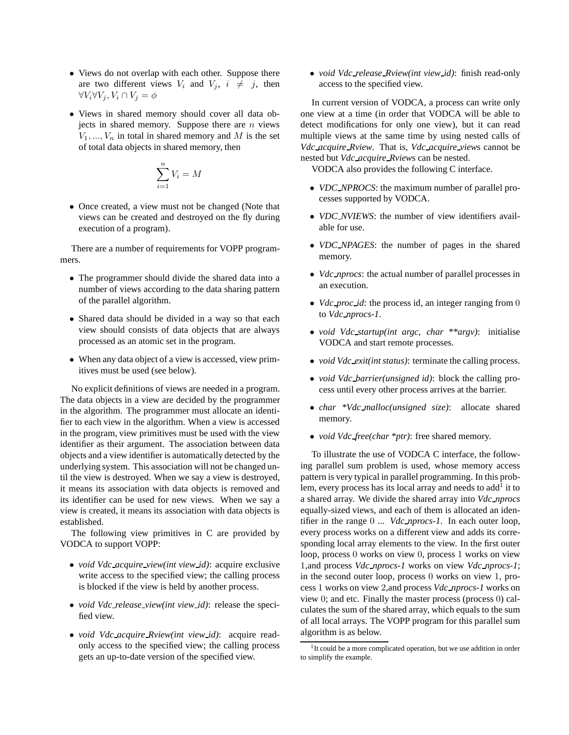- Views do not overlap with each other. Suppose there are two different views  $V_i$  and  $V_j$ ,  $i \neq j$ , then  $\forall V_i \forall V_j, V_i \cap V_j = \phi$
- Views in shared memory should cover all data objects in shared memory. Suppose there are  $n$  views  $V_1, ..., V_n$  in total in shared memory and M is the set of total data objects in shared memory, then

$$
\sum_{i=1}^{n} V_i = M
$$

• Once created, a view must not be changed (Note that views can be created and destroyed on the fly during execution of a program).

There are a number of requirements for VOPP programmers.

- The programmer should divide the shared data into a number of views according to the data sharing pattern of the parallel algorithm.
- Shared data should be divided in a way so that each view should consists of data objects that are always processed as an atomic set in the program.
- When any data object of a view is accessed, view primitives must be used (see below).

No explicit definitions of views are needed in a program. The data objects in a view are decided by the programmer in the algorithm. The programmer must allocate an identifier to each view in the algorithm. When a view is accessed in the program, view primitives must be used with the view identifier as their argument. The association between data objects and a view identifier is automatically detected by the underlying system. This association will not be changed until the view is destroyed. When we say a view is destroyed, it means its association with data objects is removed and its identifier can be used for new views. When we say a view is created, it means its association with data objects is established.

The following view primitives in C are provided by VODCA to support VOPP:

- *void Vdc acquire view(int view id)*: acquire exclusive write access to the specified view; the calling process is blocked if the view is held by another process.
- *void Vdc release view(int view id)*: release the specified view.
- *void Vdc acquire Rview(int view id)*: acquire readonly access to the specified view; the calling process gets an up-to-date version of the specified view.

• *void Vdc release Rview(int view id)*: finish read-only access to the specified view.

In current version of VODCA, a process can write only one view at a time (in order that VODCA will be able to detect modifications for only one view), but it can read multiple views at the same time by using nested calls of *Vdc acquire Rview*. That is, *Vdc acquire view*s cannot be nested but *Vdc acquire Rview*s can be nested.

VODCA also provides the following C interface.

- *VDC NPROCS*: the maximum number of parallel processes supported by VODCA.
- *VDC\_NVIEWS*: the number of view identifiers available for use.
- *VDC NPAGES*: the number of pages in the shared memory.
- *Vdc nprocs*: the actual number of parallel processes in an execution.
- *Vdc proc id*: the process id, an integer ranging from 0 to *Vdc nprocs-1*.
- *void Vdc startup(int argc, char \*\*argv)*: initialise VODCA and start remote processes.
- *void Vdc exit(int status)*: terminate the calling process.
- *void Vdc barrier(unsigned id)*: block the calling process until every other process arrives at the barrier.
- *char \*Vdc malloc(unsigned size)*: allocate shared memory.
- *void Vdc free(char \*ptr)*: free shared memory.

To illustrate the use of VODCA C interface, the following parallel sum problem is used, whose memory access pattern is very typical in parallel programming. In this problem, every process has its local array and needs to add<sup>1</sup> it to a shared array. We divide the shared array into *Vdc nprocs* equally-sized views, and each of them is allocated an identifier in the range 0 ... *Vdc nprocs-1*. In each outer loop, every process works on a different view and adds its corresponding local array elements to the view. In the first outer loop, process 0 works on view 0, process 1 works on view 1,and process *Vdc nprocs-1* works on view *Vdc nprocs-1*; in the second outer loop, process 0 works on view 1, process 1 works on view 2,and process *Vdc nprocs-1* works on view 0; and etc. Finally the master process (process 0) calculates the sum of the shared array, which equals to the sum of all local arrays. The VOPP program for this parallel sum algorithm is as below.

<sup>&</sup>lt;sup>1</sup>It could be a more complicated operation, but we use addition in order to simplify the example.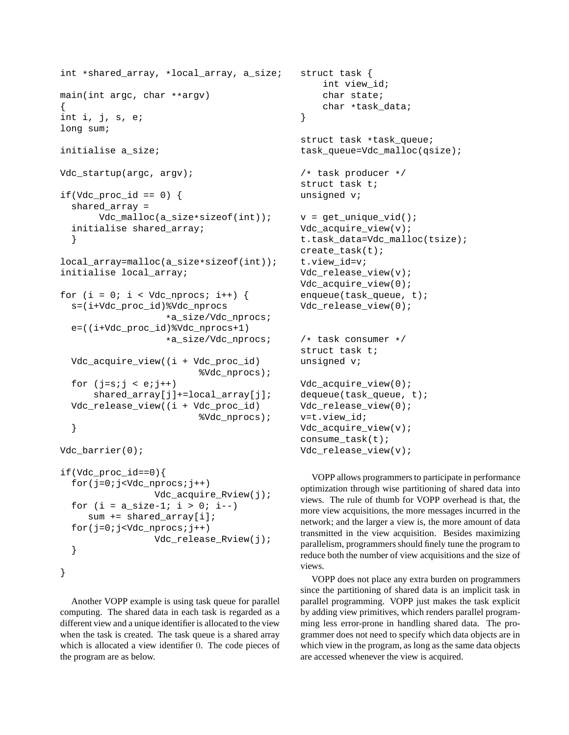```
int *shared array, *local array, a size;
main(int argc, char **argv)
{
int i, j, s, e;
long sum;
initialise a_size;
Vdc_startup(argc, argv);
if(Vdc_proc_id == 0) {
  shared_array =
       Vdc_malloc(a_size*sizeof(int));
  initialise shared_array;
  }
local array=malloc(a size*sizeof(int));
initialise local_array;
for (i = 0; i < Vdc_nprocs; i++) {
  s=(i+Vdc_proc_id)%Vdc_nprocs
                   *a_size/Vdc_nprocs;
  e=((i+Vdc_proc_id)%Vdc_nprocs+1)
                   *a_size/Vdc_nprocs;
  Vdc_acquire_view((i + Vdc_proc_id)
                         %Vdc_nprocs);
  for (j=s;j < e;j++)shared_array[j]+=local_array[j];
  Vdc_release_view((i + Vdc_proc_id)
                         %Vdc_nprocs);
  }
Vdc barrier(0);
if(Vdc_proc_id==0){
  for(j=0:j<Vdc_nprocs;j++)Vdc_acquire_Rview(j);
  for (i = a_size-1; i > 0; i--)sum += shared array[i];
  for(j=0:j<Vdc_nprocs;j++)Vdc_release_Rview(j);
  }
}
```
Another VOPP example is using task queue for parallel computing. The shared data in each task is regarded as a different view and a unique identifier is allocated to the view when the task is created. The task queue is a shared array which is allocated a view identifier 0. The code pieces of the program are as below.

```
struct task {
    int view_id;
    char state;
    char *task_data;
}
struct task *task queue;
task_queue=Vdc_malloc(qsize);
/* task producer */
struct task t;
unsigned v;
v = qet unique vid();
Vdc_acquire_view(v);
t.task_data=Vdc_malloc(tsize);
create_task(t);
t.view_id=v;
Vdc_release_view(v);
Vdc acquire view(0);
enqueue(task_queue, t);
Vdc_release_view(0);
/* task consumer */
struct task t;
unsigned v;
Vdc_acquire_view(0);
dequeue(task_queue, t);
Vdc_release_view(0);
v=t.view_id;
Vdc_acquire_view(v);
consume_task(t);
Vdc release view(v);
```
VOPP allows programmers to participate in performance optimization through wise partitioning of shared data into views. The rule of thumb for VOPP overhead is that, the more view acquisitions, the more messages incurred in the network; and the larger a view is, the more amount of data transmitted in the view acquisition. Besides maximizing parallelism, programmers should finely tune the program to reduce both the number of view acquisitions and the size of views.

VOPP does not place any extra burden on programmers since the partitioning of shared data is an implicit task in parallel programming. VOPP just makes the task explicit by adding view primitives, which renders parallel programming less error-prone in handling shared data. The programmer does not need to specify which data objects are in which view in the program, as long as the same data objects are accessed whenever the view is acquired.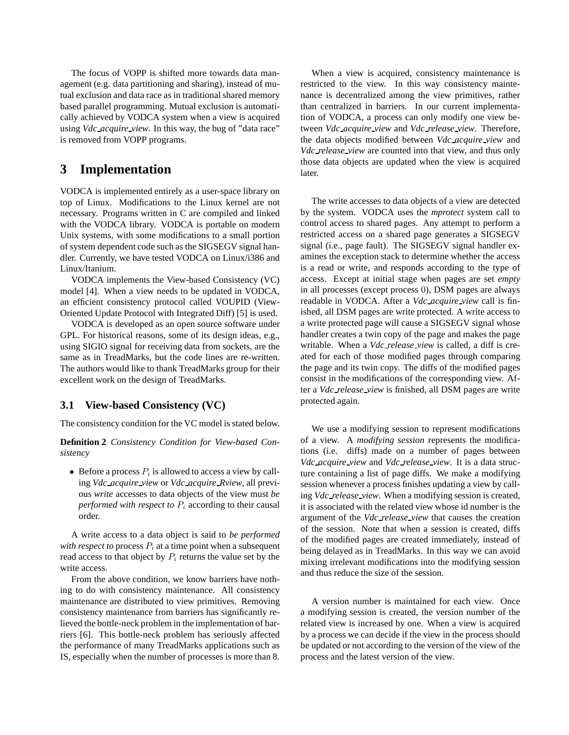The focus of VOPP is shifted more towards data management (e.g. data partitioning and sharing), instead of mutual exclusion and data race as in traditional shared memory based parallel programming. Mutual exclusion is automatically achieved by VODCA system when a view is acquired using *Vdc acquire view*. In this way, the bug of "data race" is removed from VOPP programs.

## **3 Implementation**

VODCA is implemented entirely as a user-space library on top of Linux. Modifications to the Linux kernel are not necessary. Programs written in C are compiled and linked with the VODCA library. VODCA is portable on modern Unix systems, with some modifications to a small portion of system dependent code such as the SIGSEGV signal handler. Currently, we have tested VODCA on Linux/i386 and Linux/Itanium.

VODCA implements the View-based Consistency (VC) model [4]. When a view needs to be updated in VODCA, an efficient consistency protocol called VOUPID (View-Oriented Update Protocol with Integrated Diff) [5] is used.

VODCA is developed as an open source software under GPL. For historical reasons, some of its design ideas, e.g., using SIGIO signal for receiving data from sockets, are the same as in TreadMarks, but the code lines are re-written. The authors would like to thank TreadMarks group for their excellent work on the design of TreadMarks.

#### **3.1 View-based Consistency (VC)**

The consistency condition for the VC model is stated below.

**Definition 2** *Consistency Condition for View-based Consistency*

• Before a process  $P_i$  is allowed to access a view by calling *Vdc acquire view* or *Vdc acquire Rview*, all previous *write* accesses to data objects of the view must *be performed with respect to*  $P_i$  according to their causal order.

A write access to a data object is said to *be performed with respect to* process  $P_i$  at a time point when a subsequent read access to that object by  $P_i$  returns the value set by the write access.

From the above condition, we know barriers have nothing to do with consistency maintenance. All consistency maintenance are distributed to view primitives. Removing consistency maintenance from barriers has significantly relieved the bottle-neck problem in the implementation of barriers [6]. This bottle-neck problem has seriously affected the performance of many TreadMarks applications such as IS, especially when the number of processes is more than 8.

When a view is acquired, consistency maintenance is restricted to the view. In this way consistency maintenance is decentralized among the view primitives, rather than centralized in barriers. In our current implementation of VODCA, a process can only modify one view between *Vdc acquire view* and *Vdc release view*. Therefore, the data objects modified between *Vdc acquire view* and *Vdc release view* are counted into that view, and thus only those data objects are updated when the view is acquired later.

The write accesses to data objects of a view are detected by the system. VODCA uses the *mprotect* system call to control access to shared pages. Any attempt to perform a restricted access on a shared page generates a SIGSEGV signal (i.e., page fault). The SIGSEGV signal handler examines the exception stack to determine whether the access is a read or write, and responds according to the type of access. Except at initial stage when pages are set *empty* in all processes (except process 0), DSM pages are always readable in VODCA. After a *Vdc acquire view* call is finished, all DSM pages are write protected. A write access to a write protected page will cause a SIGSEGV signal whose handler creates a twin copy of the page and makes the page writable. When a *Vdc release view* is called, a diff is created for each of those modified pages through comparing the page and its twin copy. The diffs of the modified pages consist in the modifications of the corresponding view. After a *Vdc release view* is finished, all DSM pages are write protected again.

We use a modifying session to represent modifications of a view. A *modifying session* represents the modifications (i.e. diffs) made on a number of pages between *Vdc acquire view* and *Vdc release view*. It is a data structure containing a list of page diffs. We make a modifying session whenever a process finishes updating a view by calling *Vdc release view*. When a modifying session is created, it is associated with the related view whose id number is the argument of the *Vdc release view* that causes the creation of the session. Note that when a session is created, diffs of the modified pages are created immediately, instead of being delayed as in TreadMarks. In this way we can avoid mixing irrelevant modifications into the modifying session and thus reduce the size of the session.

A version number is maintained for each view. Once a modifying session is created, the version number of the related view is increased by one. When a view is acquired by a process we can decide if the view in the process should be updated or not according to the version of the view of the process and the latest version of the view.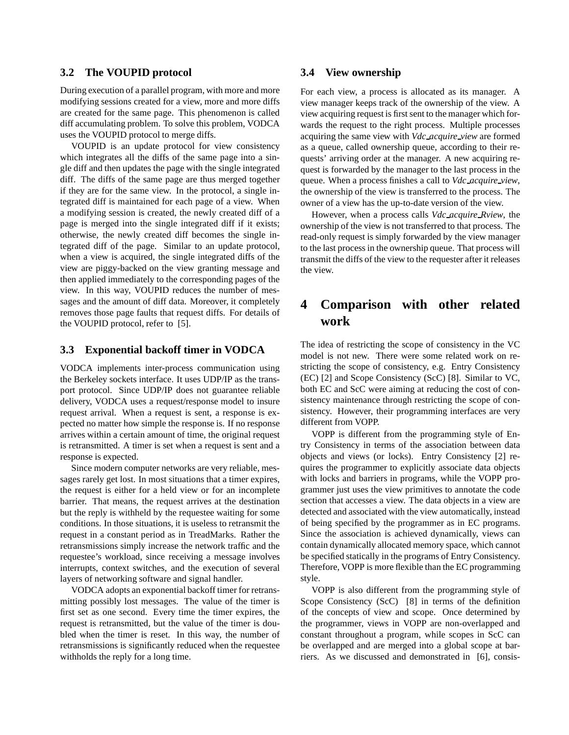#### **3.2 The VOUPID protocol**

During execution of a parallel program, with more and more modifying sessions created for a view, more and more diffs are created for the same page. This phenomenon is called diff accumulating problem. To solve this problem, VODCA uses the VOUPID protocol to merge diffs.

VOUPID is an update protocol for view consistency which integrates all the diffs of the same page into a single diff and then updates the page with the single integrated diff. The diffs of the same page are thus merged together if they are for the same view. In the protocol, a single integrated diff is maintained for each page of a view. When a modifying session is created, the newly created diff of a page is merged into the single integrated diff if it exists; otherwise, the newly created diff becomes the single integrated diff of the page. Similar to an update protocol, when a view is acquired, the single integrated diffs of the view are piggy-backed on the view granting message and then applied immediately to the corresponding pages of the view. In this way, VOUPID reduces the number of messages and the amount of diff data. Moreover, it completely removes those page faults that request diffs. For details of the VOUPID protocol, refer to [5].

#### **3.3 Exponential backoff timer in VODCA**

VODCA implements inter-process communication using the Berkeley sockets interface. It uses UDP/IP as the transport protocol. Since UDP/IP does not guarantee reliable delivery, VODCA uses a request/response model to insure request arrival. When a request is sent, a response is expected no matter how simple the response is. If no response arrives within a certain amount of time, the original request is retransmitted. A timer is set when a request is sent and a response is expected.

Since modern computer networks are very reliable, messages rarely get lost. In most situations that a timer expires, the request is either for a held view or for an incomplete barrier. That means, the request arrives at the destination but the reply is withheld by the requestee waiting for some conditions. In those situations, it is useless to retransmit the request in a constant period as in TreadMarks. Rather the retransmissions simply increase the network traffic and the requestee's workload, since receiving a message involves interrupts, context switches, and the execution of several layers of networking software and signal handler.

VODCA adopts an exponential backoff timer for retransmitting possibly lost messages. The value of the timer is first set as one second. Every time the timer expires, the request is retransmitted, but the value of the timer is doubled when the timer is reset. In this way, the number of retransmissions is significantly reduced when the requestee withholds the reply for a long time.

#### **3.4 View ownership**

For each view, a process is allocated as its manager. A view manager keeps track of the ownership of the view. A view acquiring request is first sent to the manager which forwards the request to the right process. Multiple processes acquiring the same view with *Vdc acquire view* are formed as a queue, called ownership queue, according to their requests' arriving order at the manager. A new acquiring request is forwarded by the manager to the last process in the queue. When a process finishes a call to *Vdc acquire view*, the ownership of the view is transferred to the process. The owner of a view has the up-to-date version of the view.

However, when a process calls *Vdc acquire Rview*, the ownership of the view is not transferred to that process. The read-only request is simply forwarded by the view manager to the last process in the ownership queue. That process will transmit the diffs of the view to the requester after it releases the view.

## **4 Comparison with other related work**

The idea of restricting the scope of consistency in the VC model is not new. There were some related work on restricting the scope of consistency, e.g. Entry Consistency (EC) [2] and Scope Consistency (ScC) [8]. Similar to VC, both EC and ScC were aiming at reducing the cost of consistency maintenance through restricting the scope of consistency. However, their programming interfaces are very different from VOPP.

VOPP is different from the programming style of Entry Consistency in terms of the association between data objects and views (or locks). Entry Consistency [2] requires the programmer to explicitly associate data objects with locks and barriers in programs, while the VOPP programmer just uses the view primitives to annotate the code section that accesses a view. The data objects in a view are detected and associated with the view automatically, instead of being specified by the programmer as in EC programs. Since the association is achieved dynamically, views can contain dynamically allocated memory space, which cannot be specified statically in the programs of Entry Consistency. Therefore, VOPP is more flexible than the EC programming style.

VOPP is also different from the programming style of Scope Consistency (ScC) [8] in terms of the definition of the concepts of view and scope. Once determined by the programmer, views in VOPP are non-overlapped and constant throughout a program, while scopes in ScC can be overlapped and are merged into a global scope at barriers. As we discussed and demonstrated in [6], consis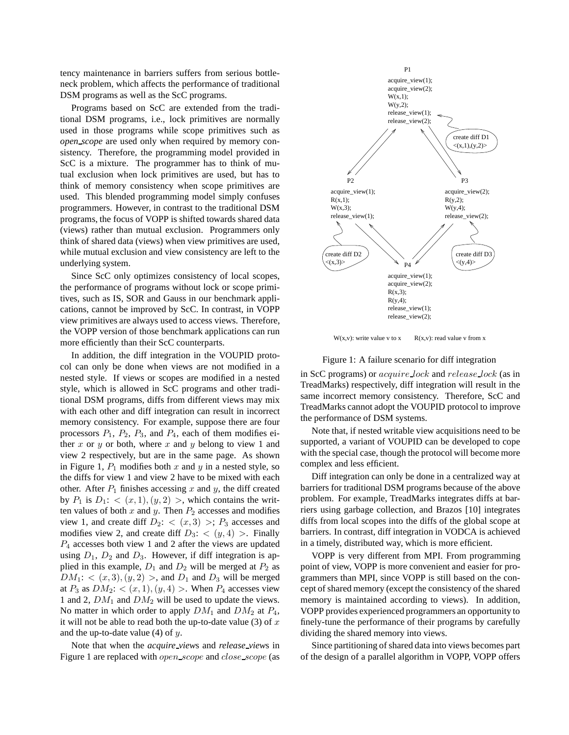tency maintenance in barriers suffers from serious bottleneck problem, which affects the performance of traditional DSM programs as well as the ScC programs.

Programs based on ScC are extended from the traditional DSM programs, i.e., lock primitives are normally used in those programs while scope primitives such as *open scope* are used only when required by memory consistency. Therefore, the programming model provided in ScC is a mixture. The programmer has to think of mutual exclusion when lock primitives are used, but has to think of memory consistency when scope primitives are used. This blended programming model simply confuses programmers. However, in contrast to the traditional DSM programs, the focus of VOPP is shifted towards shared data (views) rather than mutual exclusion. Programmers only think of shared data (views) when view primitives are used, while mutual exclusion and view consistency are left to the underlying system.

Since ScC only optimizes consistency of local scopes, the performance of programs without lock or scope primitives, such as IS, SOR and Gauss in our benchmark applications, cannot be improved by ScC. In contrast, in VOPP view primitives are always used to access views. Therefore, the VOPP version of those benchmark applications can run more efficiently than their ScC counterparts.

In addition, the diff integration in the VOUPID protocol can only be done when views are not modified in a nested style. If views or scopes are modified in a nested style, which is allowed in ScC programs and other traditional DSM programs, diffs from different views may mix with each other and diff integration can result in incorrect memory consistency. For example, suppose there are four processors  $P_1$ ,  $P_2$ ,  $P_3$ , and  $P_4$ , each of them modifies either  $x$  or  $y$  or both, where  $x$  and  $y$  belong to view 1 and view 2 respectively, but are in the same page. As shown in Figure 1,  $P_1$  modifies both x and y in a nested style, so the diffs for view 1 and view 2 have to be mixed with each other. After  $P_1$  finishes accessing x and y, the diff created by  $P_1$  is  $D_1$ :  $\langle (x, 1), (y, 2) \rangle$ , which contains the written values of both  $x$  and  $y$ . Then  $P_2$  accesses and modifies view 1, and create diff  $D_2$ :  $\langle (x, 3) \rangle$ ;  $P_3$  accesses and modifies view 2, and create diff  $D_3$ :  $\lt(y, 4)$  >. Finally  $P_4$  accesses both view 1 and 2 after the views are updated using  $D_1$ ,  $D_2$  and  $D_3$ . However, if diff integration is applied in this example,  $D_1$  and  $D_2$  will be merged at  $P_2$  as  $DM_1$ :  $\langle (x, 3), (y, 2) \rangle$ , and  $D_1$  and  $D_3$  will be merged at  $P_3$  as  $DM_2$ :  $\lt (x, 1), (y, 4) >$ . When  $P_4$  accesses view 1 and 2,  $DM_1$  and  $DM_2$  will be used to update the views. No matter in which order to apply  $DM_1$  and  $DM_2$  at  $P_4$ , it will not be able to read both the up-to-date value (3) of  $x$ and the up-to-date value  $(4)$  of y.

Note that when the *acquire view*s and *release view*s in Figure 1 are replaced with *open\_scope* and *close\_scope* (as



 $W(x, v)$ : write value v to x  $R(x, v)$ : read value v from x

#### Figure 1: A failure scenario for diff integration

in ScC programs) or acquire lock and release lock (as in TreadMarks) respectively, diff integration will result in the same incorrect memory consistency. Therefore, ScC and TreadMarks cannot adopt the VOUPID protocol to improve the performance of DSM systems.

Note that, if nested writable view acquisitions need to be supported, a variant of VOUPID can be developed to cope with the special case, though the protocol will become more complex and less efficient.

Diff integration can only be done in a centralized way at barriers for traditional DSM programs because of the above problem. For example, TreadMarks integrates diffs at barriers using garbage collection, and Brazos [10] integrates diffs from local scopes into the diffs of the global scope at barriers. In contrast, diff integration in VODCA is achieved in a timely, distributed way, which is more efficient.

VOPP is very different from MPI. From programming point of view, VOPP is more convenient and easier for programmers than MPI, since VOPP is still based on the concept of shared memory (except the consistency of the shared memory is maintained according to views). In addition, VOPP provides experienced programmers an opportunity to finely-tune the performance of their programs by carefully dividing the shared memory into views.

Since partitioning of shared data into views becomes part of the design of a parallel algorithm in VOPP, VOPP offers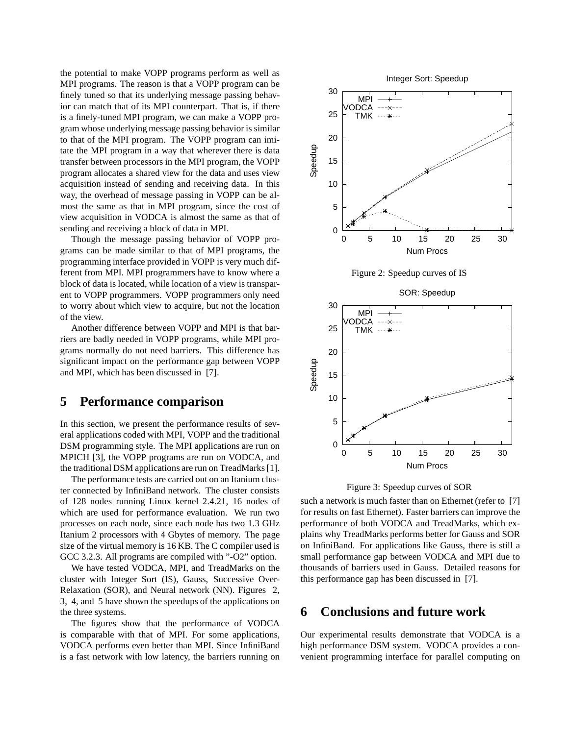the potential to make VOPP programs perform as well as MPI programs. The reason is that a VOPP program can be finely tuned so that its underlying message passing behavior can match that of its MPI counterpart. That is, if there is a finely-tuned MPI program, we can make a VOPP program whose underlying message passing behavior is similar to that of the MPI program. The VOPP program can imitate the MPI program in a way that wherever there is data transfer between processors in the MPI program, the VOPP program allocates a shared view for the data and uses view acquisition instead of sending and receiving data. In this way, the overhead of message passing in VOPP can be almost the same as that in MPI program, since the cost of view acquisition in VODCA is almost the same as that of sending and receiving a block of data in MPI.

Though the message passing behavior of VOPP programs can be made similar to that of MPI programs, the programming interface provided in VOPP is very much different from MPI. MPI programmers have to know where a block of data is located, while location of a view is transparent to VOPP programmers. VOPP programmers only need to worry about which view to acquire, but not the location of the view.

Another difference between VOPP and MPI is that barriers are badly needed in VOPP programs, while MPI programs normally do not need barriers. This difference has significant impact on the performance gap between VOPP and MPI, which has been discussed in [7].

### **5 Performance comparison**

In this section, we present the performance results of several applications coded with MPI, VOPP and the traditional DSM programming style. The MPI applications are run on MPICH [3], the VOPP programs are run on VODCA, and the traditional DSM applications are run on TreadMarks [1].

The performance tests are carried out on an Itanium cluster connected by InfiniBand network. The cluster consists of 128 nodes running Linux kernel 2.4.21, 16 nodes of which are used for performance evaluation. We run two processes on each node, since each node has two 1.3 GHz Itanium 2 processors with 4 Gbytes of memory. The page size of the virtual memory is 16 KB. The C compiler used is GCC 3.2.3. All programs are compiled with "-O2" option.

We have tested VODCA, MPI, and TreadMarks on the cluster with Integer Sort (IS), Gauss, Successive Over-Relaxation (SOR), and Neural network (NN). Figures 2, 3, 4, and 5 have shown the speedups of the applications on the three systems.

The figures show that the performance of VODCA is comparable with that of MPI. For some applications, VODCA performs even better than MPI. Since InfiniBand is a fast network with low latency, the barriers running on







such a network is much faster than on Ethernet (refer to [7] for results on fast Ethernet). Faster barriers can improve the performance of both VODCA and TreadMarks, which explains why TreadMarks performs better for Gauss and SOR on InfiniBand. For applications like Gauss, there is still a small performance gap between VODCA and MPI due to thousands of barriers used in Gauss. Detailed reasons for this performance gap has been discussed in [7].

## **6 Conclusions and future work**

Our experimental results demonstrate that VODCA is a high performance DSM system. VODCA provides a convenient programming interface for parallel computing on